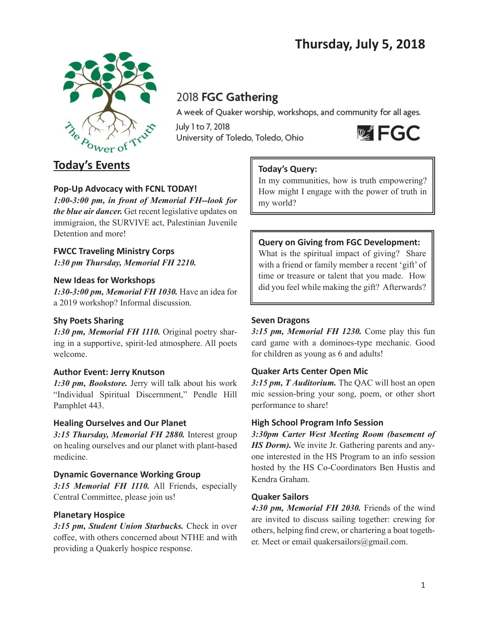# **Thursday, July 5, 2018**



## 2018 FGC Gathering

A week of Quaker worship, workshops, and community for all ages.

July 1 to 7, 2018 University of Toledo, Toledo, Ohio



## **Today's Events**

## **Pop-Up Advocacy with FCNL TODAY!**

*1:00-3:00 pm, in front of Memorial FH--look for the blue air dancer.* Get recent legislative updates on immigraion, the SURVIVE act, Palestinian Juvenile Detention and more!

### **FWCC Traveling Ministry Corps** *1:30 pm Thursday, Memorial FH 2210.*

### **New Ideas for Workshops**

*1:30-3:00 pm, Memorial FH 1030.* Have an idea for a 2019 workshop? Informal discussion.

## **Shy Poets Sharing**

*1:30 pm, Memorial FH 1110.* Original poetry sharing in a supportive, spirit-led atmosphere. All poets welcome.

## **Author Event: Jerry Knutson**

*1:30 pm, Bookstore.* Jerry will talk about his work "Individual Spiritual Discernment," Pendle Hill Pamphlet 443.

## **Healing Ourselves and Our Planet**

*3:15 Thursday, Memorial FH 2880.* Interest group on healing ourselves and our planet with plant-based medicine.

## **Dynamic Governance Working Group**

*3:15 Memorial FH 1110.* All Friends, especially Central Committee, please join us!

## **Planetary Hospice**

*3:15 pm, Student Union Starbucks.* Check in over coffee, with others concerned about NTHE and with providing a Quakerly hospice response.

## **Today's Query:**

In my communities, how is truth empowering? How might I engage with the power of truth in my world?

## **Query on Giving from FGC Development:**

What is the spiritual impact of giving? Share with a friend or family member a recent 'gift' of time or treasure or talent that you made. How did you feel while making the gift? Afterwards?

## **Seven Dragons**

*3:15 pm, Memorial FH 1230.* Come play this fun card game with a dominoes-type mechanic. Good for children as young as 6 and adults!

## **Quaker Arts Center Open Mic**

*3:15 pm, T Auditorium.* The QAC will host an open mic session-bring your song, poem, or other short performance to share!

## **High School Program Info Session**

*3:30pm Carter West Meeting Room (basement of HS Dorm).* We invite Jr. Gathering parents and anyone interested in the HS Program to an info session hosted by the HS Co-Coordinators Ben Hustis and Kendra Graham.

### **Quaker Sailors**

*4:30 pm, Memorial FH 2030.* Friends of the wind are invited to discuss sailing together: crewing for others, helping find crew, or chartering a boat together. Meet or email quakersailors@gmail.com.